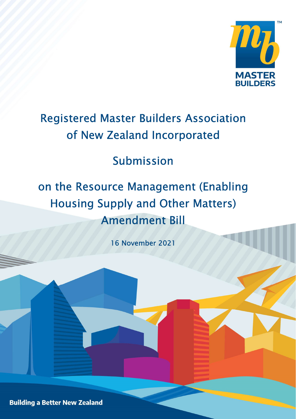

# Registered Master Builders Association of New Zealand Incorporated

## Submission

# on the Resource Management (Enabling Housing Supply and Other Matters) Amendment Bill

16 November 2021

**Building a Better New Zealand**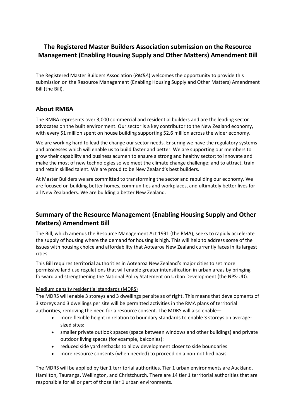## The Registered Master Builders Association submission on the Resource Management (Enabling Housing Supply and Other Matters) Amendment Bill

The Registered Master Builders Association (RMBA) welcomes the opportunity to provide this submission on the Resource Management (Enabling Housing Supply and Other Matters) Amendment Bill (the Bill).

## About RMBA

The RMBA represents over 3,000 commercial and residential builders and are the leading sector advocates on the built environment. Our sector is a key contributor to the New Zealand economy, with every \$1 million spent on house building supporting \$2.6 million across the wider economy.

We are working hard to lead the change our sector needs. Ensuring we have the regulatory systems and processes which will enable us to build faster and better. We are supporting our members to grow their capability and business acumen to ensure a strong and healthy sector; to innovate and make the most of new technologies so we meet the climate change challenge; and to attract, train and retain skilled talent. We are proud to be New Zealand's best builders.

At Master Builders we are committed to transforming the sector and rebuilding our economy. We are focused on building better homes, communities and workplaces, and ultimately better lives for all New Zealanders. We are building a better New Zealand.

## Summary of the Resource Management (Enabling Housing Supply and Other Matters) Amendment Bill

The Bill, which amends the Resource Management Act 1991 (the RMA), seeks to rapidly accelerate the supply of housing where the demand for housing is high. This will help to address some of the issues with housing choice and affordability that Aotearoa New Zealand currently faces in its largest cities.

This Bill requires territorial authorities in Aotearoa New Zealand's major cities to set more permissive land use regulations that will enable greater intensification in urban areas by bringing forward and strengthening the National Policy Statement on Urban Development (the NPS-UD).

#### Medium density residential standards (MDRS)

The MDRS will enable 3 storeys and 3 dwellings per site as of right. This means that developments of 3 storeys and 3 dwellings per site will be permitted activities in the RMA plans of territorial authorities, removing the need for a resource consent. The MDRS will also enable—

- more flexible height in relation to boundary standards to enable 3 storeys on averagesized sites:
- smaller private outlook spaces (space between windows and other buildings) and private outdoor living spaces (for example, balconies):
- reduced side yard setbacks to allow development closer to side boundaries:
- more resource consents (when needed) to proceed on a non-notified basis.

The MDRS will be applied by tier 1 territorial authorities. Tier 1 urban environments are Auckland, Hamilton, Tauranga, Wellington, and Christchurch. There are 14 tier 1 territorial authorities that are responsible for all or part of those tier 1 urban environments.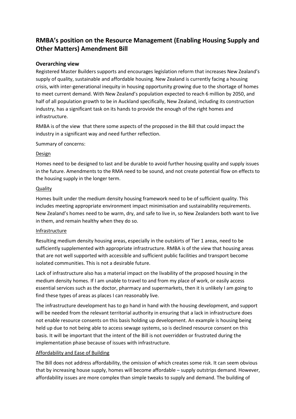## RMBA's position on the Resource Management (Enabling Housing Supply and Other Matters) Amendment Bill

#### Overarching view

Registered Master Builders supports and encourages legislation reform that increases New Zealand's supply of quality, sustainable and affordable housing. New Zealand is currently facing a housing crisis, with inter-generational inequity in housing opportunity growing due to the shortage of homes to meet current demand. With New Zealand's population expected to reach 6 million by 2050, and half of all population growth to be in Auckland specifically, New Zealand, including its construction industry, has a significant task on its hands to provide the enough of the right homes and infrastructure.

RMBA is of the view that there some aspects of the proposed in the Bill that could impact the industry in a significant way and need further reflection.

Summary of concerns:

#### Design

Homes need to be designed to last and be durable to avoid further housing quality and supply issues in the future. Amendments to the RMA need to be sound, and not create potential flow on effects to the housing supply in the longer term.

#### **Quality**

Homes built under the medium density housing framework need to be of sufficient quality. This includes meeting appropriate environment impact minimisation and sustainability requirements. New Zealand's homes need to be warm, dry, and safe to live in, so New Zealanders both want to live in them, and remain healthy when they do so.

#### **Infrastructure**

Resulting medium density housing areas, especially in the outskirts of Tier 1 areas, need to be sufficiently supplemented with appropriate infrastructure. RMBA is of the view that housing areas that are not well supported with accessible and sufficient public facilities and transport become isolated communities. This is not a desirable future.

Lack of infrastructure also has a material impact on the livability of the proposed housing in the medium density homes. If I am unable to travel to and from my place of work, or easily access essential services such as the doctor, pharmacy and supermarkets, then it is unlikely I am going to find these types of areas as places I can reasonably live.

The infrastructure development has to go hand in hand with the housing development, and support will be needed from the relevant territorial authority in ensuring that a lack in infrastructure does not enable resource consents on this basis holding up development. An example is housing being held up due to not being able to access sewage systems, so is declined resource consent on this basis. It will be important that the intent of the Bill is not overridden or frustrated during the implementation phase because of issues with infrastructure.

#### Affordability and Ease of Building

The Bill does not address affordability, the omission of which creates some risk. It can seem obvious that by increasing house supply, homes will become affordable – supply outstrips demand. However, affordability issues are more complex than simple tweaks to supply and demand. The building of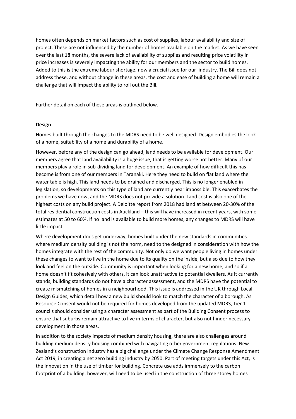homes often depends on market factors such as cost of supplies, labour availability and size of project. These are not influenced by the number of homes available on the market. As we have seen over the last 18 months, the severe lack of availability of supplies and resulting price volatility in price increases is severely impacting the ability for our members and the sector to build homes. Added to this is the extreme labour shortage, now a crucial issue for our industry. The Bill does not address these, and without change in these areas, the cost and ease of building a home will remain a challenge that will impact the ability to roll out the Bill.

Further detail on each of these areas is outlined below.

#### Design

Homes built through the changes to the MDRS need to be well designed. Design embodies the look of a home, suitability of a home and durability of a home.

However, before any of the design can go ahead, land needs to be available for development. Our members agree that land availability is a huge issue, that is getting worse not better. Many of our members play a role in sub-dividing land for development. An example of how difficult this has become is from one of our members in Taranaki. Here they need to build on flat land where the water table is high. This land needs to be drained and discharged. This is no longer enabled in legislation, so developments on this type of land are currently near impossible. This exacerbates the problems we have now, and the MDRS does not provide a solution. Land cost is also one of the highest costs on any build project. A Deloitte report from 2018 had land at between 20-30% of the total residential construction costs in Auckland – this will have increased in recent years, with some estimates at 50 to 60%. If no land is available to build more homes, any changes to MDRS will have little impact.

Where development does get underway, homes built under the new standards in communities where medium density building is not the norm, need to the designed in consideration with how the homes integrate with the rest of the community. Not only do we want people living in homes under these changes to want to live in the home due to its quality on the inside, but also due to how they look and feel on the outside. Community is important when looking for a new home, and so if a home doesn't fit cohesively with others, it can look unattractive to potential dwellers. As it currently stands, building standards do not have a character assessment, and the MDRS have the potential to create mismatching of homes in a neighbourhood. This issue is addressed in the UK through Local Design Guides, which detail how a new build should look to match the character of a borough. As Resource Consent would not be required for homes developed from the updated MDRS, Tier 1 councils should consider using a character assessment as part of the Building Consent process to ensure that suburbs remain attractive to live in terms of character, but also not hinder necessary development in those areas.

In addition to the society impacts of medium density housing, there are also challenges around building medium density housing combined with navigating other government regulations. New Zealand's construction industry has a big challenge under the Climate Change Response Amendment Act 2019, in creating a net zero building industry by 2050. Part of meeting targets under this Act, is the innovation in the use of timber for building. Concrete use adds immensely to the carbon footprint of a building, however, will need to be used in the construction of three storey homes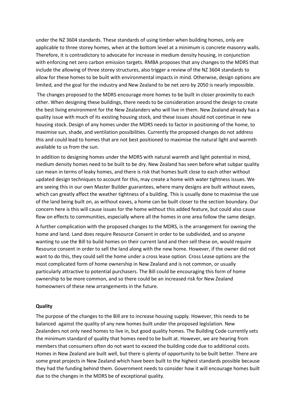under the NZ 3604 standards. These standards of using timber when building homes, only are applicable to three storey homes, when at the bottom level at a minimum is concrete masonry walls. Therefore, it is contradictory to advocate for increase in medium density housing, in conjunction with enforcing net zero carbon emission targets. RMBA proposes that any changes to the MDRS that include the allowing of three storey structures, also trigger a review of the NZ 3604 standards to allow for these homes to be built with environmental impacts in mind. Otherwise, design options are limited, and the goal for the industry and New Zealand to be net zero by 2050 is nearly impossible.

 The changes proposed to the MDRS encourage more homes to be built in closer proximity to each other. When designing these buildings, there needs to be consideration around the design to create the best living environment for the New Zealanders who will live in them. New Zealand already has a quality issue with much of its existing housing stock, and these issues should not continue in new housing stock. Design of any homes under the MDRS needs to factor in positioning of the home, to maximise sun, shade, and ventilation possibilities. Currently the proposed changes do not address this and could lead to homes that are not best positioned to maximise the natural light and warmth available to us from the sun.

In addition to designing homes under the MDRS with natural warmth and light potential in mind, medium density homes need to be built to be dry. New Zealand has seen before what subpar quality can mean in terms of leaky homes, and there is risk that homes built close to each other without updated design techniques to account for this, may create a home with water tightness issues. We are seeing this in our own Master Builder guarantees, where many designs are built without eaves, which can greatly affect the weather tightness of a building. This is usually done to maximise the use of the land being built on, as without eaves, a home can be built closer to the section boundary. Our concern here is this will cause issues for the home without this added feature, but could also cause flow on effects to communities, especially where all the homes in one area follow the same design.

A further complication with the proposed changes to the MDRS, is the arrangement for owning the home and land. Land does require Resource Consent in order to be subdivided, and so anyone wanting to use the Bill to build homes on their current land and then sell these on, would require Resource consent in order to sell the land along with the new home. However, if the owner did not want to do this, they could sell the home under a cross lease option. Cross Lease options are the most complicated form of home ownership in New Zealand and is not common, or usually particularly attractive to potential purchasers. The Bill could be encouraging this form of home ownership to be more common, and so there could be an increased risk for New Zealand homeowners of these new arrangements in the future.

#### **Quality**

The purpose of the changes to the Bill are to increase housing supply. However, this needs to be balanced against the quality of any new homes built under the proposed legislation. New Zealanders not only need homes to live in, but good quality homes. The Building Code currently sets the minimum standard of quality that homes need to be built at. However, we are hearing from members that consumers often do not want to exceed the building code due to additional costs. Homes in New Zealand are built well, but there is plenty of opportunity to be built better. There are some great projects in New Zealand which have been built to the highest standards possible because they had the funding behind them. Government needs to consider how it will encourage homes built due to the changes in the MDRS be of exceptional quality.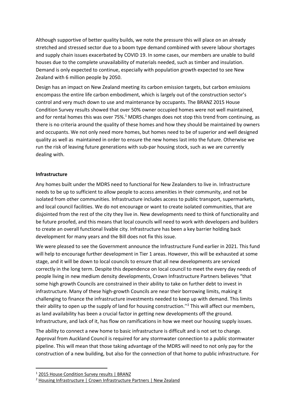Although supportive of better quality builds, we note the pressure this will place on an already stretched and stressed sector due to a boom type demand combined with severe labour shortages and supply chain issues exacerbated by COVID 19. In some cases, our members are unable to build houses due to the complete unavailability of materials needed, such as timber and insulation. Demand is only expected to continue, especially with population growth expected to see New Zealand with 6 million people by 2050.

Design has an impact on New Zealand meeting its carbon emission targets, but carbon emissions encompass the entire life carbon embodiment, which is largely out of the construction sector's control and very much down to use and maintenance by occupants. The BRANZ 2015 House Condition Survey results showed that over 50% owner occupied homes were not well maintained, and for rental homes this was over 75%.<sup>1</sup> MDRS changes does not stop this trend from continuing, as there is no criteria around the quality of these homes and how they should be maintained by owners and occupants. We not only need more homes, but homes need to be of superior and well designed quality as well as maintained in order to ensure the new homes last into the future. Otherwise we run the risk of leaving future generations with sub-par housing stock, such as we are currently dealing with.

#### Infrastructure

Any homes built under the MDRS need to functional for New Zealanders to live in. Infrastructure needs to be up to sufficient to allow people to access amenities in their community, and not be isolated from other communities. Infrastructure includes access to public transport, supermarkets, and local council facilities. We do not encourage or want to create isolated communities, that are disjointed from the rest of the city they live in. New developments need to think of functionality and be future proofed, and this means that local councils will need to work with developers and builders to create an overall functional livable city. Infrastructure has been a key barrier holding back development for many years and the Bill does not fix this issue.

We were pleased to see the Government announce the Infrastructure Fund earlier in 2021. This fund will help to encourage further development in Tier 1 areas. However, this will be exhausted at some stage, and it will be down to local councils to ensure that all new developments are serviced correctly in the long term. Despite this dependence on local council to meet the every day needs of people living in new medium density developments, Crown Infrastructure Partners believes "that some high growth Councils are constrained in their ability to take on further debt to invest in infrastructure. Many of these high-growth Councils are near their borrowing limits, making it challenging to finance the infrastructure investments needed to keep up with demand. This limits their ability to open up the supply of land for housing construction."<sup>2</sup> This will affect our members, as land availability has been a crucial factor in getting new developments off the ground. Infrastructure, and lack of it, has flow on ramifications in how we meet our housing supply issues.

The ability to connect a new home to basic infrastructure is difficult and is not set to change. Approval from Auckland Council is required for any stormwater connection to a public stormwater pipeline. This will mean that those taking advantage of the MDRS will need to not only pay for the construction of a new building, but also for the connection of that home to public infrastructure. For

<sup>&</sup>lt;sup>1</sup> 2015 House Condition Survey results | BRANZ

<sup>&</sup>lt;sup>2</sup> Housing Infrastructure | Crown Infrastructure Partners | New Zealand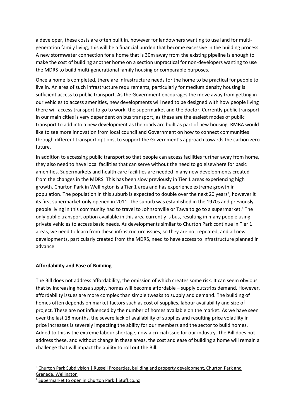a developer, these costs are often built in, however for landowners wanting to use land for multigeneration family living, this will be a financial burden that become excessive in the building process. A new stormwater connection for a home that is 30m away from the existing pipeline is enough to make the cost of building another home on a section unpractical for non-developers wanting to use the MDRS to build multi-generational family housing or comparable purposes.

Once a home is completed, there are infrastructure needs for the home to be practical for people to live in. An area of such infrastructure requirements, particularly for medium density housing is sufficient access to public transport. As the Government encourages the move away from getting in our vehicles to access amenities, new developments will need to be designed with how people living there will access transport to go to work, the supermarket and the doctor. Currently public transport in our main cities is very dependent on bus transport, as these are the easiest modes of public transport to add into a new development as the roads are built as part of new housing. RMBA would like to see more innovation from local council and Government on how to connect communities through different transport options, to support the Government's approach towards the carbon zero future.

In addition to accessing public transport so that people can access facilities further away from home, they also need to have local facilities that can serve without the need to go elsewhere for basic amenities. Supermarkets and health care facilities are needed in any new developments created from the changes in the MDRS. This has been slow previously in Tier 1 areas experiencing high growth. Churton Park in Wellington is a Tier 1 area and has experience extreme growth in population. The population in this suburb is expected to double over the next 20 years<sup>3</sup>, however it its first supermarket only opened in 2011. The suburb was established in the 1970s and previously people living in this community had to travel to Johnsonville or Tawa to go to a supermarket.<sup>4</sup> The only public transport option available in this area currently is bus, resulting in many people using private vehicles to access basic needs. As developments similar to Churton Park continue in Tier 1 areas, we need to learn from these infrastructure issues, so they are not repeated, and all new developments, particularly created from the MDRS, need to have access to infrastructure planned in advance.

#### Affordability and Ease of Building

The Bill does not address affordability, the omission of which creates some risk. It can seem obvious that by increasing house supply, homes will become affordable – supply outstrips demand. However, affordability issues are more complex than simple tweaks to supply and demand. The building of homes often depends on market factors such as cost of supplies, labour availability and size of project. These are not influenced by the number of homes available on the market. As we have seen over the last 18 months, the severe lack of availability of supplies and resulting price volatility in price increases is severely impacting the ability for our members and the sector to build homes. Added to this is the extreme labour shortage, now a crucial issue for our industry. The Bill does not address these, and without change in these areas, the cost and ease of building a home will remain a challenge that will impact the ability to roll out the Bill.

<sup>&</sup>lt;sup>3</sup> Churton Park Subdivision | Russell Properties, building and property development, Churton Park and Grenada, Wellington

<sup>4</sup> Supermarket to open in Churton Park | Stuff.co.nz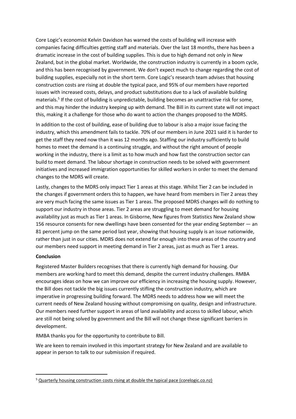Core Logic's economist Kelvin Davidson has warned the costs of building will increase with companies facing difficulties getting staff and materials. Over the last 18 months, there has been a dramatic increase in the cost of building supplies. This is due to high demand not only in New Zealand, but in the global market. Worldwide, the construction industry is currently in a boom cycle, and this has been recognised by government. We don't expect much to change regarding the cost of building supplies, especially not in the short term. Core Logic's research team advises that housing construction costs are rising at double the typical pace, and 95% of our members have reported issues with increased costs, delays, and product substitutions due to a lack of available building materials.<sup>5</sup> If the cost of building is unpredictable, building becomes an unattractive risk for some, and this may hinder the industry keeping up with demand. The Bill in its current state will not impact this, making it a challenge for those who do want to action the changes proposed to the MDRS.

In addition to the cost of building, ease of building due to labour is also a major issue facing the industry, which this amendment fails to tackle. 70% of our members in June 2021 said it is harder to get the staff they need now than it was 12 months ago. Staffing our industry sufficiently to build homes to meet the demand is a continuing struggle, and without the right amount of people working in the industry, there is a limit as to how much and how fast the construction sector can build to meet demand. The labour shortage in construction needs to be solved with government initiatives and increased immigration opportunities for skilled workers in order to meet the demand changes to the MDRS will create.

Lastly, changes to the MDRS only impact Tier 1 areas at this stage. Whilst Tier 2 can be included in the changes if government orders this to happen, we have heard from members in Tier 2 areas they are very much facing the same issues as Tier 1 areas. The proposed MDRS changes will do nothing to support our industry in those areas. Tier 2 areas are struggling to meet demand for housing availability just as much as Tier 1 areas. In Gisborne, New figures from Statistics New Zealand show 156 resource consents for new dwellings have been consented for the year ending September — an 81 percent jump on the same period last year, showing that housing supply is an issue nationwide, rather than just in our cities. MDRS does not extend far enough into these areas of the country and our members need support in meeting demand in Tier 2 areas, just as much as Tier 1 areas.

#### Conclusion

Registered Master Builders recognises that there is currently high demand for housing. Our members are working hard to meet this demand, despite the current industry challenges. RMBA encourages ideas on how we can improve our efficiency in increasing the housing supply. However, the Bill does not tackle the big issues currently stifling the construction industry, which are imperative in progressing building forward. The MDRS needs to address how we will meet the current needs of New Zealand housing without compromising on quality, design and infrastructure. Our members need further support in areas of land availability and access to skilled labour, which are still not being solved by government and the Bill will not change these significant barriers in development.

RMBA thanks you for the opportunity to contribute to Bill.

We are keen to remain involved in this important strategy for New Zealand and are available to appear in person to talk to our submission if required.

<sup>&</sup>lt;sup>5</sup> Quarterly housing construction costs rising at double the typical pace (corelogic.co.nz)